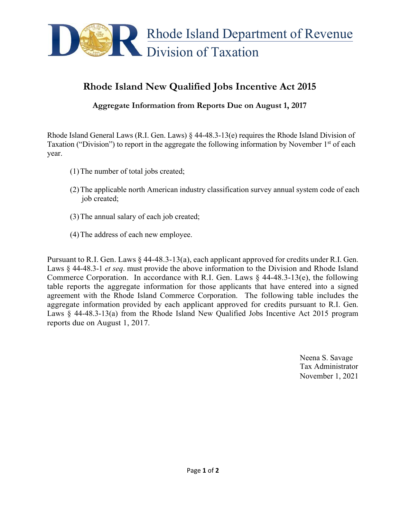

## **Rhode Island New Qualified Jobs Incentive Act 2015**

**Aggregate Information from Reports Due on August 1, 2017**

Rhode Island General Laws (R.I. Gen. Laws) § 44-48.3-13(e) requires the Rhode Island Division of Taxation ("Division") to report in the aggregate the following information by November  $1<sup>st</sup>$  of each year.

- (1)The number of total jobs created;
- (2)The applicable north American industry classification survey annual system code of each job created;
- (3)The annual salary of each job created;
- (4)The address of each new employee.

Pursuant to R.I. Gen. Laws § 44-48.3-13(a), each applicant approved for credits under R.I. Gen. Laws § 44-48.3-1 *et seq*. must provide the above information to the Division and Rhode Island Commerce Corporation. In accordance with R.I. Gen. Laws  $\S$  44-48.3-13(e), the following table reports the aggregate information for those applicants that have entered into a signed agreement with the Rhode Island Commerce Corporation. The following table includes the aggregate information provided by each applicant approved for credits pursuant to R.I. Gen. Laws § 44-48.3-13(a) from the Rhode Island New Qualified Jobs Incentive Act 2015 program reports due on August 1, 2017.

> Neena S. Savage Tax Administrator November 1, 2021